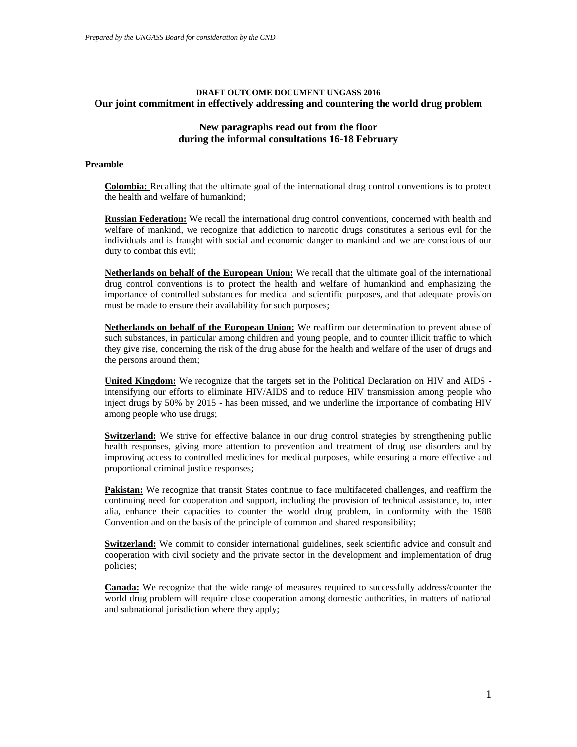# **DRAFT OUTCOME DOCUMENT UNGASS 2016 Our joint commitment in effectively addressing and countering the world drug problem**

# **New paragraphs read out from the floor during the informal consultations 16-18 February**

### **Preamble**

**Colombia:** Recalling that the ultimate goal of the international drug control conventions is to protect the health and welfare of humankind;

**Russian Federation:** We recall the international drug control conventions, concerned with health and welfare of mankind, we recognize that addiction to narcotic drugs constitutes a serious evil for the individuals and is fraught with social and economic danger to mankind and we are conscious of our duty to combat this evil;

**Netherlands on behalf of the European Union:** We recall that the ultimate goal of the international drug control conventions is to protect the health and welfare of humankind and emphasizing the importance of controlled substances for medical and scientific purposes, and that adequate provision must be made to ensure their availability for such purposes;

**Netherlands on behalf of the European Union:** We reaffirm our determination to prevent abuse of such substances, in particular among children and young people, and to counter illicit traffic to which they give rise, concerning the risk of the drug abuse for the health and welfare of the user of drugs and the persons around them;

**United Kingdom:** We recognize that the targets set in the Political Declaration on HIV and AIDS intensifying our efforts to eliminate HIV/AIDS and to reduce HIV transmission among people who inject drugs by 50% by 2015 - has been missed, and we underline the importance of combating HIV among people who use drugs;

**Switzerland:** We strive for effective balance in our drug control strategies by strengthening public health responses, giving more attention to prevention and treatment of drug use disorders and by improving access to controlled medicines for medical purposes, while ensuring a more effective and proportional criminal justice responses;

**Pakistan:** We recognize that transit States continue to face multifaceted challenges, and reaffirm the continuing need for cooperation and support, including the provision of technical assistance, to, inter alia, enhance their capacities to counter the world drug problem, in conformity with the 1988 Convention and on the basis of the principle of common and shared responsibility;

**Switzerland:** We commit to consider international guidelines, seek scientific advice and consult and cooperation with civil society and the private sector in the development and implementation of drug policies;

**Canada:** We recognize that the wide range of measures required to successfully address/counter the world drug problem will require close cooperation among domestic authorities, in matters of national and subnational jurisdiction where they apply;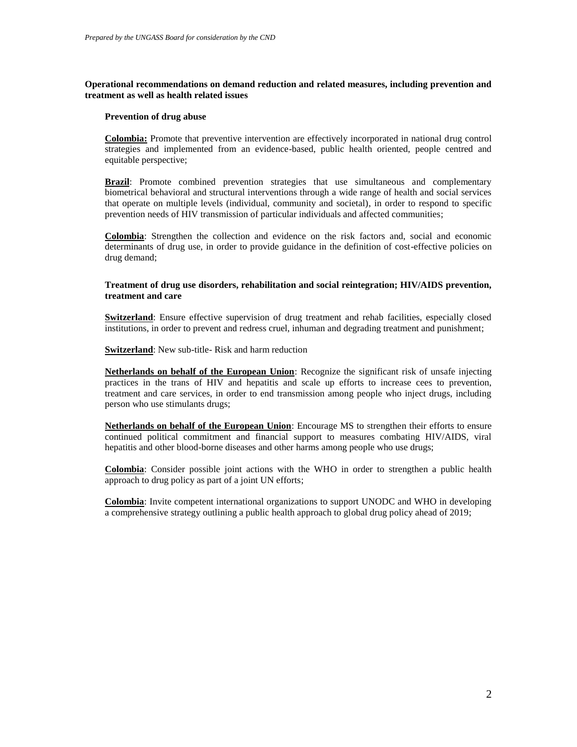# **Operational recommendations on demand reduction and related measures, including prevention and treatment as well as health related issues**

### **Prevention of drug abuse**

**Colombia:** Promote that preventive intervention are effectively incorporated in national drug control strategies and implemented from an evidence-based, public health oriented, people centred and equitable perspective;

**Brazil:** Promote combined prevention strategies that use simultaneous and complementary biometrical behavioral and structural interventions through a wide range of health and social services that operate on multiple levels (individual, community and societal), in order to respond to specific prevention needs of HIV transmission of particular individuals and affected communities;

**Colombia**: Strengthen the collection and evidence on the risk factors and, social and economic determinants of drug use, in order to provide guidance in the definition of cost-effective policies on drug demand;

# **Treatment of drug use disorders, rehabilitation and social reintegration; HIV/AIDS prevention, treatment and care**

**Switzerland**: Ensure effective supervision of drug treatment and rehab facilities, especially closed institutions, in order to prevent and redress cruel, inhuman and degrading treatment and punishment;

**Switzerland**: New sub-title- Risk and harm reduction

**Netherlands on behalf of the European Union**: Recognize the significant risk of unsafe injecting practices in the trans of HIV and hepatitis and scale up efforts to increase cees to prevention, treatment and care services, in order to end transmission among people who inject drugs, including person who use stimulants drugs;

**Netherlands on behalf of the European Union**: Encourage MS to strengthen their efforts to ensure continued political commitment and financial support to measures combating HIV/AIDS, viral hepatitis and other blood-borne diseases and other harms among people who use drugs;

**Colombia**: Consider possible joint actions with the WHO in order to strengthen a public health approach to drug policy as part of a joint UN efforts;

**Colombia**: Invite competent international organizations to support UNODC and WHO in developing a comprehensive strategy outlining a public health approach to global drug policy ahead of 2019;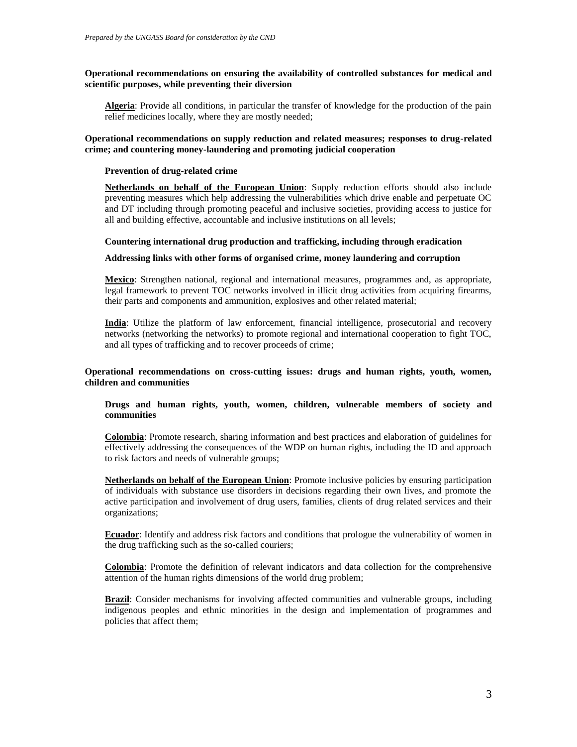# **Operational recommendations on ensuring the availability of controlled substances for medical and scientific purposes, while preventing their diversion**

**Algeria**: Provide all conditions, in particular the transfer of knowledge for the production of the pain relief medicines locally, where they are mostly needed;

# **Operational recommendations on supply reduction and related measures; responses to drug-related crime; and countering money-laundering and promoting judicial cooperation**

### **Prevention of drug-related crime**

**Netherlands on behalf of the European Union**: Supply reduction efforts should also include preventing measures which help addressing the vulnerabilities which drive enable and perpetuate OC and DT including through promoting peaceful and inclusive societies, providing access to justice for all and building effective, accountable and inclusive institutions on all levels;

### **Countering international drug production and trafficking, including through eradication**

#### **Addressing links with other forms of organised crime, money laundering and corruption**

**Mexico**: Strengthen national, regional and international measures, programmes and, as appropriate, legal framework to prevent TOC networks involved in illicit drug activities from acquiring firearms, their parts and components and ammunition, explosives and other related material;

**India**: Utilize the platform of law enforcement, financial intelligence, prosecutorial and recovery networks (networking the networks) to promote regional and international cooperation to fight TOC, and all types of trafficking and to recover proceeds of crime;

### **Operational recommendations on cross-cutting issues: drugs and human rights, youth, women, children and communities**

# **Drugs and human rights, youth, women, children, vulnerable members of society and communities**

**Colombia**: Promote research, sharing information and best practices and elaboration of guidelines for effectively addressing the consequences of the WDP on human rights, including the ID and approach to risk factors and needs of vulnerable groups;

**Netherlands on behalf of the European Union**: Promote inclusive policies by ensuring participation of individuals with substance use disorders in decisions regarding their own lives, and promote the active participation and involvement of drug users, families, clients of drug related services and their organizations;

**Ecuador**: Identify and address risk factors and conditions that prologue the vulnerability of women in the drug trafficking such as the so-called couriers;

**Colombia**: Promote the definition of relevant indicators and data collection for the comprehensive attention of the human rights dimensions of the world drug problem;

**Brazil**: Consider mechanisms for involving affected communities and vulnerable groups, including indigenous peoples and ethnic minorities in the design and implementation of programmes and policies that affect them;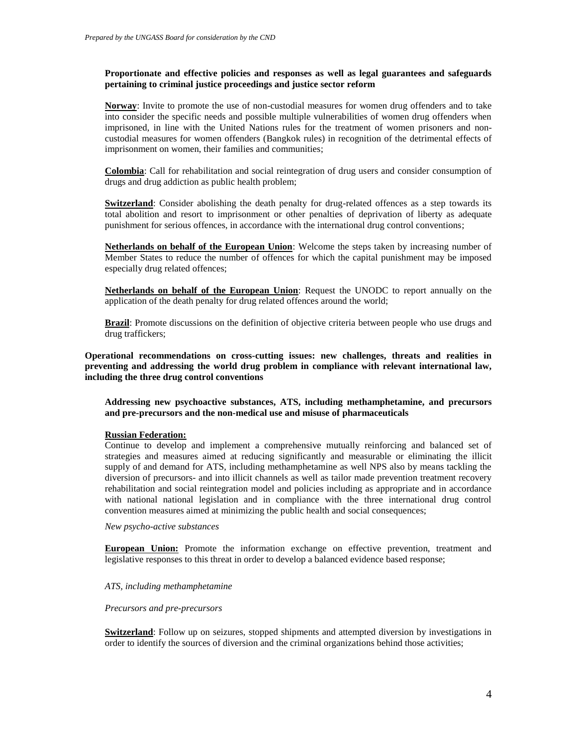# **Proportionate and effective policies and responses as well as legal guarantees and safeguards pertaining to criminal justice proceedings and justice sector reform**

**Norway**: Invite to promote the use of non-custodial measures for women drug offenders and to take into consider the specific needs and possible multiple vulnerabilities of women drug offenders when imprisoned, in line with the United Nations rules for the treatment of women prisoners and noncustodial measures for women offenders (Bangkok rules) in recognition of the detrimental effects of imprisonment on women, their families and communities;

**Colombia**: Call for rehabilitation and social reintegration of drug users and consider consumption of drugs and drug addiction as public health problem;

**Switzerland**: Consider abolishing the death penalty for drug-related offences as a step towards its total abolition and resort to imprisonment or other penalties of deprivation of liberty as adequate punishment for serious offences, in accordance with the international drug control conventions;

**Netherlands on behalf of the European Union**: Welcome the steps taken by increasing number of Member States to reduce the number of offences for which the capital punishment may be imposed especially drug related offences;

**Netherlands on behalf of the European Union**: Request the UNODC to report annually on the application of the death penalty for drug related offences around the world;

**Brazil**: Promote discussions on the definition of objective criteria between people who use drugs and drug traffickers;

**Operational recommendations on cross-cutting issues: new challenges, threats and realities in preventing and addressing the world drug problem in compliance with relevant international law, including the three drug control conventions**

**Addressing new psychoactive substances, ATS, including methamphetamine, and precursors and pre-precursors and the non-medical use and misuse of pharmaceuticals**

#### **Russian Federation:**

Continue to develop and implement a comprehensive mutually reinforcing and balanced set of strategies and measures aimed at reducing significantly and measurable or eliminating the illicit supply of and demand for ATS, including methamphetamine as well NPS also by means tackling the diversion of precursors- and into illicit channels as well as tailor made prevention treatment recovery rehabilitation and social reintegration model and policies including as appropriate and in accordance with national national legislation and in compliance with the three international drug control convention measures aimed at minimizing the public health and social consequences;

*New psycho-active substances*

**European Union:** Promote the information exchange on effective prevention, treatment and legislative responses to this threat in order to develop a balanced evidence based response;

#### *ATS, including methamphetamine*

#### *Precursors and pre-precursors*

**Switzerland**: Follow up on seizures, stopped shipments and attempted diversion by investigations in order to identify the sources of diversion and the criminal organizations behind those activities;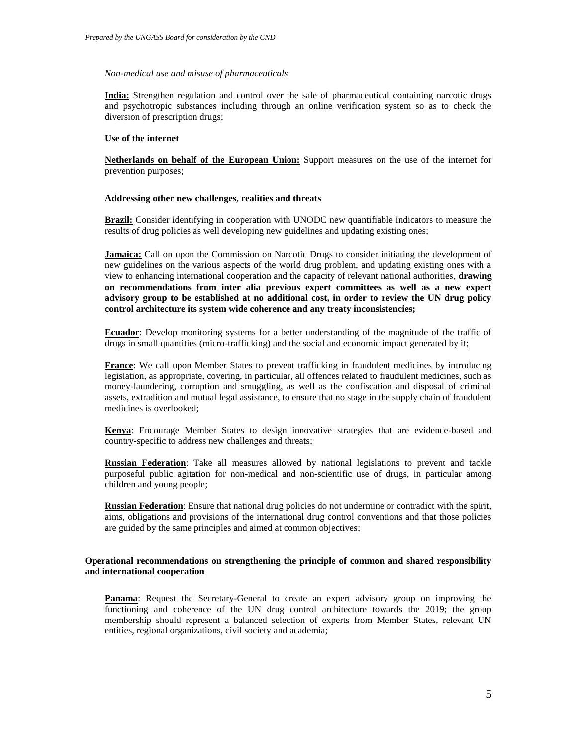#### *Non-medical use and misuse of pharmaceuticals*

**India:** Strengthen regulation and control over the sale of pharmaceutical containing narcotic drugs and psychotropic substances including through an online verification system so as to check the diversion of prescription drugs;

#### **Use of the internet**

**Netherlands on behalf of the European Union:** Support measures on the use of the internet for prevention purposes;

### **Addressing other new challenges, realities and threats**

**Brazil:** Consider identifying in cooperation with UNODC new quantifiable indicators to measure the results of drug policies as well developing new guidelines and updating existing ones;

**Jamaica:** Call on upon the Commission on Narcotic Drugs to consider initiating the development of new guidelines on the various aspects of the world drug problem, and updating existing ones with a view to enhancing international cooperation and the capacity of relevant national authorities, **drawing on recommendations from inter alia previous expert committees as well as a new expert advisory group to be established at no additional cost, in order to review the UN drug policy control architecture its system wide coherence and any treaty inconsistencies;**

**Ecuador**: Develop monitoring systems for a better understanding of the magnitude of the traffic of drugs in small quantities (micro-trafficking) and the social and economic impact generated by it;

**France:** We call upon Member States to prevent trafficking in fraudulent medicines by introducing legislation, as appropriate, covering, in particular, all offences related to fraudulent medicines, such as money-laundering, corruption and smuggling, as well as the confiscation and disposal of criminal assets, extradition and mutual legal assistance, to ensure that no stage in the supply chain of fraudulent medicines is overlooked;

**Kenya**: Encourage Member States to design innovative strategies that are evidence-based and country-specific to address new challenges and threats;

**Russian Federation**: Take all measures allowed by national legislations to prevent and tackle purposeful public agitation for non-medical and non-scientific use of drugs, in particular among children and young people;

**Russian Federation**: Ensure that national drug policies do not undermine or contradict with the spirit, aims, obligations and provisions of the international drug control conventions and that those policies are guided by the same principles and aimed at common objectives;

# **Operational recommendations on strengthening the principle of common and shared responsibility and international cooperation**

**Panama**: Request the Secretary-General to create an expert advisory group on improving the functioning and coherence of the UN drug control architecture towards the 2019; the group membership should represent a balanced selection of experts from Member States, relevant UN entities, regional organizations, civil society and academia;